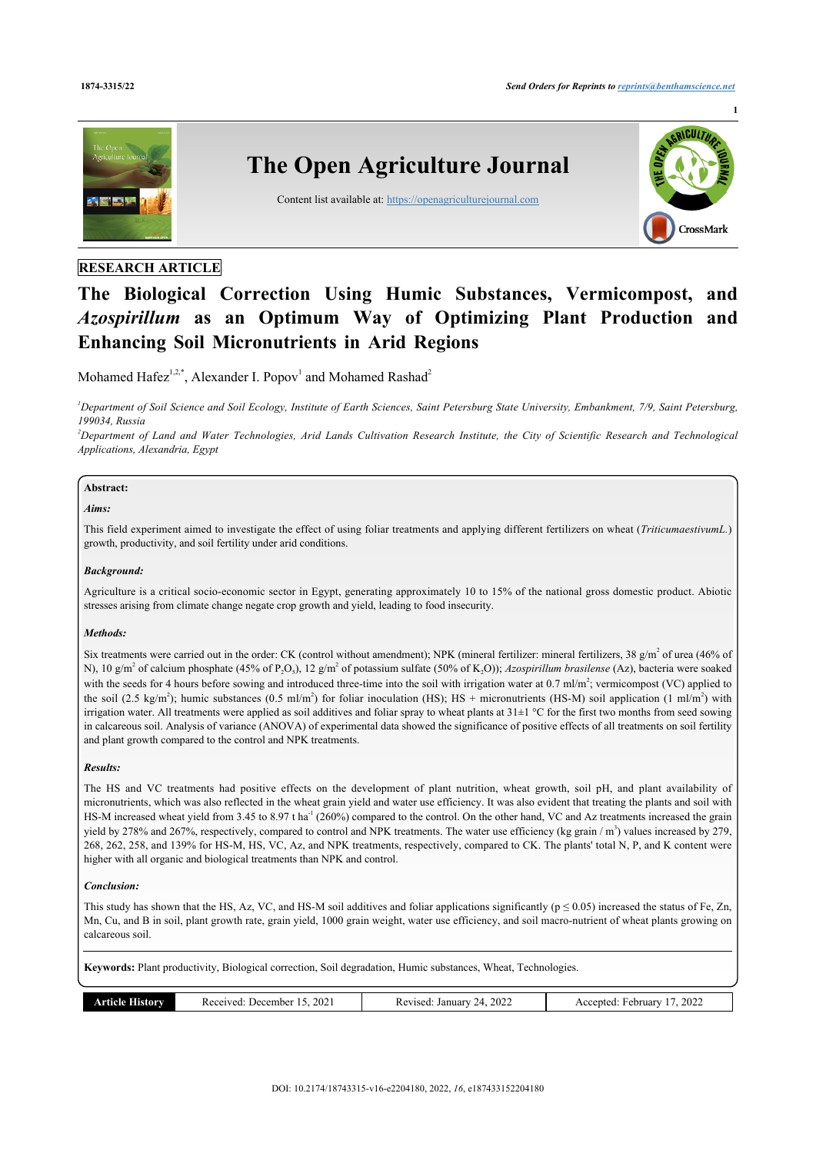

# **RESEARCH ARTICLE**

# **The Biological Correction Using Humic Substances, Vermicompost, and** *Azospirillum* **as an Optimum Way of Optimizing Plant Production and Enhancing Soil Micronutrients in Arid Regions**

Mohamed Hafe $z^{1,2,*}$  $z^{1,2,*}$  $z^{1,2,*}$  $z^{1,2,*}$  $z^{1,2,*}$  $z^{1,2,*}$  $z^{1,2,*}$ , Alexander I. Popov<sup>1</sup> and Mohamed Rashad<sup>2</sup>

<span id="page-0-0"></span>*<sup>1</sup>Department of Soil Science and Soil Ecology, Institute of Earth Sciences, Saint Petersburg State University, Embankment, 7/9, Saint Petersburg, 199034, Russia*

<span id="page-0-1"></span>*<sup>2</sup>Department of Land and Water Technologies, Arid Lands Cultivation Research Institute, the City of Scientific Research and Technological Applications, Alexandria, Egypt*

## **Abstract:**

#### *Aims:*

This field experiment aimed to investigate the effect of using foliar treatments and applying different fertilizers on wheat (*TriticumaestivumL.*) growth, productivity, and soil fertility under arid conditions.

#### *Background:*

Agriculture is a critical socio-economic sector in Egypt, generating approximately 10 to 15% of the national gross domestic product. Abiotic stresses arising from climate change negate crop growth and yield, leading to food insecurity.

#### *Methods:*

Six treatments were carried out in the order: CK (control without amendment); NPK (mineral fertilizer: mineral fertilizers, 38  $g/m<sup>2</sup>$  of urea (46% of N), 10 g/m<sup>2</sup> of calcium phosphate (45% of P<sub>2</sub>O<sub>5</sub>), 12 g/m<sup>2</sup> of potassium sulfate (50% of K<sub>2</sub>O)); *Azospirillum brasilense* (Az), bacteria were soaked with the seeds for 4 hours before sowing and introduced three-time into the soil with irrigation water at 0.7 ml/m<sup>2</sup>; vermicompost (VC) applied to the soil (2.5 kg/m<sup>2</sup>); humic substances (0.5 ml/m<sup>2</sup>) for foliar inoculation (HS); HS + micronutrients (HS-M) soil application (1 ml/m<sup>2</sup>) with irrigation water. All treatments were applied as soil additives and foliar spray to wheat plants at 31±1 °C for the first two months from seed sowing in calcareous soil. Analysis of variance (ANOVA) of experimental data showed the significance of positive effects of all treatments on soil fertility and plant growth compared to the control and NPK treatments.

# *Results:*

The HS and VC treatments had positive effects on the development of plant nutrition, wheat growth, soil pH, and plant availability of micronutrients, which was also reflected in the wheat grain yield and water use efficiency. It was also evident that treating the plants and soil with HS-M increased wheat yield from 3.45 to 8.97 t ha<sup>-1</sup> (260%) compared to the control. On the other hand, VC and Az treatments increased the grain yield by 278% and 267%, respectively, compared to control and NPK treatments. The water use efficiency (kg grain  $/m<sup>3</sup>$ ) values increased by 279, 268, 262, 258, and 139% for HS-M, HS, VC, Az, and NPK treatments, respectively, compared to CK. The plants' total N, P, and K content were higher with all organic and biological treatments than NPK and control.

#### *Conclusion:*

This study has shown that the HS, Az, VC, and HS-M soil additives and foliar applications significantly ( $p \le 0.05$ ) increased the status of Fe, Zn, Mn, Cu, and B in soil, plant growth rate, grain yield, 1000 grain weight, water use efficiency, and soil macro-nutrient of wheat plants growing on calcareous soil.

**Keywords:** Plant productivity, Biological correction, Soil degradation, Humic substances, Wheat, Technologies.

| $\sim$<br>torv<br>December<br>הוהו<br>. .<br>202<br>$\cdots$ .<br>.<br>.<br>- - - - | 2022<br>January<br>$71$ seq<br>, <u>л</u><br>nc<br>___<br>. | 2022<br>rebruar<br>cented:<br>A0x |
|-------------------------------------------------------------------------------------|-------------------------------------------------------------|-----------------------------------|
|-------------------------------------------------------------------------------------|-------------------------------------------------------------|-----------------------------------|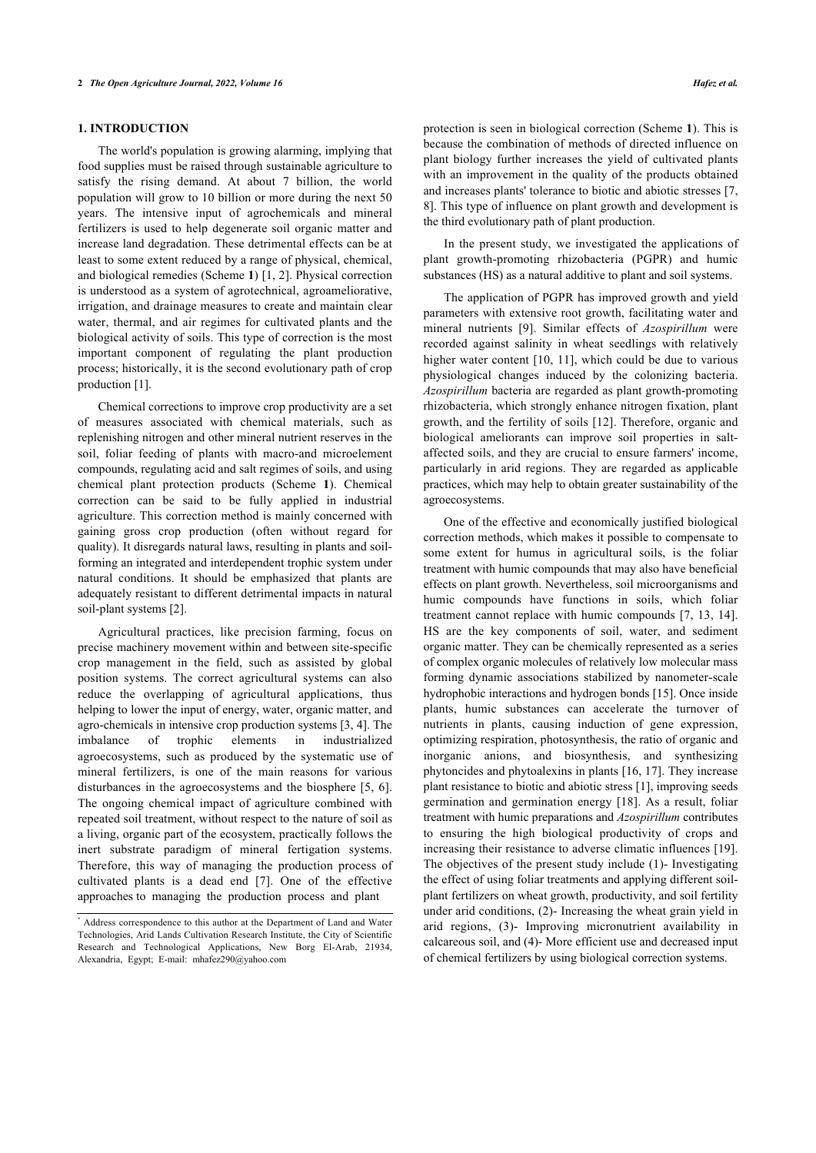# **1. INTRODUCTION**

The world's population is growing alarming, implying that food supplies must be raised through sustainable agriculture to satisfy the rising demand. At about 7 billion, the world population will grow to 10 billion or more during the next 50 years. The intensive input of agrochemicals and mineral fertilizers is used to help degenerate soil organic matter and increase land degradation. These detrimental effects can be at least to some extent reduced by a range of physical, chemical, and biological remedies (Scheme **[1](#page-5-0)**) [\[1,](#page-8-0) [2](#page-8-1)]. Physical correction is understood as a system of agrotechnical, agroameliorative, irrigation, and drainage measures to create and maintain clear water, thermal, and air regimes for cultivated plants and the biological activity of soils. This type of correction is the most important component of regulating the plant production process; historically, it is the second evolutionary path of crop production [[1](#page-8-0)].

Chemical corrections to improve crop productivity are a set of measures associated with chemical materials, such as replenishing nitrogen and other mineral nutrient reserves in the soil, foliar feeding of plants with macro-and microelement compounds, regulating acid and salt regimes of soils, and using chemical plant protection products (Scheme**1**). Chemical correction can be said to be fully applied in industrial agriculture. This correction method is mainly concerned with gaining gross crop production (often without regard for quality). It disregards natural laws, resulting in plants and soilforming an integrated and interdependent trophic system under natural conditions. It should be emphasized that plants are adequately resistant to different detrimental impacts in natural soil-plant systems [[2](#page-8-1)].

Agricultural practices, like precision farming, focus on precise machinery movement within and between site-specific crop management in the field, such as assisted by global position systems. The correct agricultural systems can also reduce the overlapping of agricultural applications, thus helping to lower the input of energy, water, organic matter, and agro-chemicals in intensive crop production systems [\[3,](#page-8-2) [4\]](#page-8-3). The imbalance of trophic elements in industrialized agroecosystems, such as produced by the systematic use of mineral fertilizers, is one of the main reasons for various disturbances in the agroecosystems and the biosphere [\[5,](#page-8-4) [6\]](#page-8-5). The ongoing chemical impact of agriculture combined with repeated soil treatment, without respect to the nature of soil as a living, organic part of the ecosystem, practically follows the inert substrate paradigm of mineral fertigation systems. Therefore, this way of managing the production process of cultivated plants is a dead end[[7](#page-8-6)]. One of the effective approaches to managing the production process and plant

protection is seen in biological correction (Scheme **[1](#page-5-0)**). This is because the combination of methods of directed influence on plant biology further increases the yield of cultivated plants with an improvement in the quality of the products obtained and increases plants' tolerance to biotic and abiotic stresses [[7](#page-8-6), [8\]](#page-8-7). This type of influence on plant growth and development is the third evolutionary path of plant production.

In the present study, we investigated the applications of plant growth-promoting rhizobacteria (PGPR) and humic substances (HS) as a natural additive to plant and soil systems.

The application of PGPR has improved growth and yield parameters with extensive root growth, facilitating water and mineral nutrients[[9](#page-8-8)]. Similar effects of *Azospirillum* were recorded against salinity in wheat seedlings with relatively higher water content [\[10](#page-8-9), [11](#page-8-10)], which could be due to various physiological changes induced by the colonizing bacteria. *Azospirillum* bacteria are regarded as plant growth-promoting rhizobacteria, which strongly enhance nitrogen fixation, plant growth, and the fertility of soils [\[12\]](#page-8-11). Therefore, organic and biological ameliorants can improve soil properties in saltaffected soils, and they are crucial to ensure farmers' income, particularly in arid regions. They are regarded as applicable practices, which may help to obtain greater sustainability of the agroecosystems.

One of the effective and economically justified biological correction methods, which makes it possible to compensate to some extent for humus in agricultural soils, is the foliar treatment with humic compounds that may also have beneficial effects on plant growth. Nevertheless, soil microorganisms and humic compounds have functions in soils, which foliar treatment cannot replace with humic compounds [\[7,](#page-8-6) [13,](#page-8-12) [14](#page-8-13)]. HS are the key components of soil, water, and sediment organic matter. They can be chemically represented as a series of complex organic molecules of relatively low molecular mass forming dynamic associations stabilized by nanometer-scale hydrophobic interactions and hydrogen bonds [\[15](#page-8-14)]. Once inside plants, humic substances can accelerate the turnover of nutrients in plants, causing induction of gene expression, optimizing respiration, photosynthesis, the ratio of organic and inorganic anions, and biosynthesis, and synthesizing phytoncides and phytoalexins in plants [[16,](#page-8-15) [17\]](#page-8-16). They increase plant resistance to biotic and abiotic stress [\[1\]](#page-8-0), improving seeds germination and germination energy [\[18](#page-8-17)]. As a result, foliar treatment with humic preparations and *Azospirillum* contributes to ensuring the high biological productivity of crops and increasing their resistance to adverse climatic influences [[19](#page-8-18)]. The objectives of the present study include (1)- Investigating the effect of using foliar treatments and applying different soilplant fertilizers on wheat growth, productivity, and soil fertility under arid conditions, (2)- Increasing the wheat grain yield in arid regions, (3)- Improving micronutrient availability in calcareous soil, and (4)- More efficient use and decreased input of chemical fertilizers by using biological correction systems.

<span id="page-1-0"></span><sup>\*</sup> Address correspondence to this author at the Department of Land and Water Technologies, Arid Lands Cultivation Research Institute, the City of Scientific Research and Technological Applications, New Borg El-Arab, 21934, Alexandria, Egypt; E-mail: [mhafez290@yahoo.com](mailto:mhafez290@yahoo.com)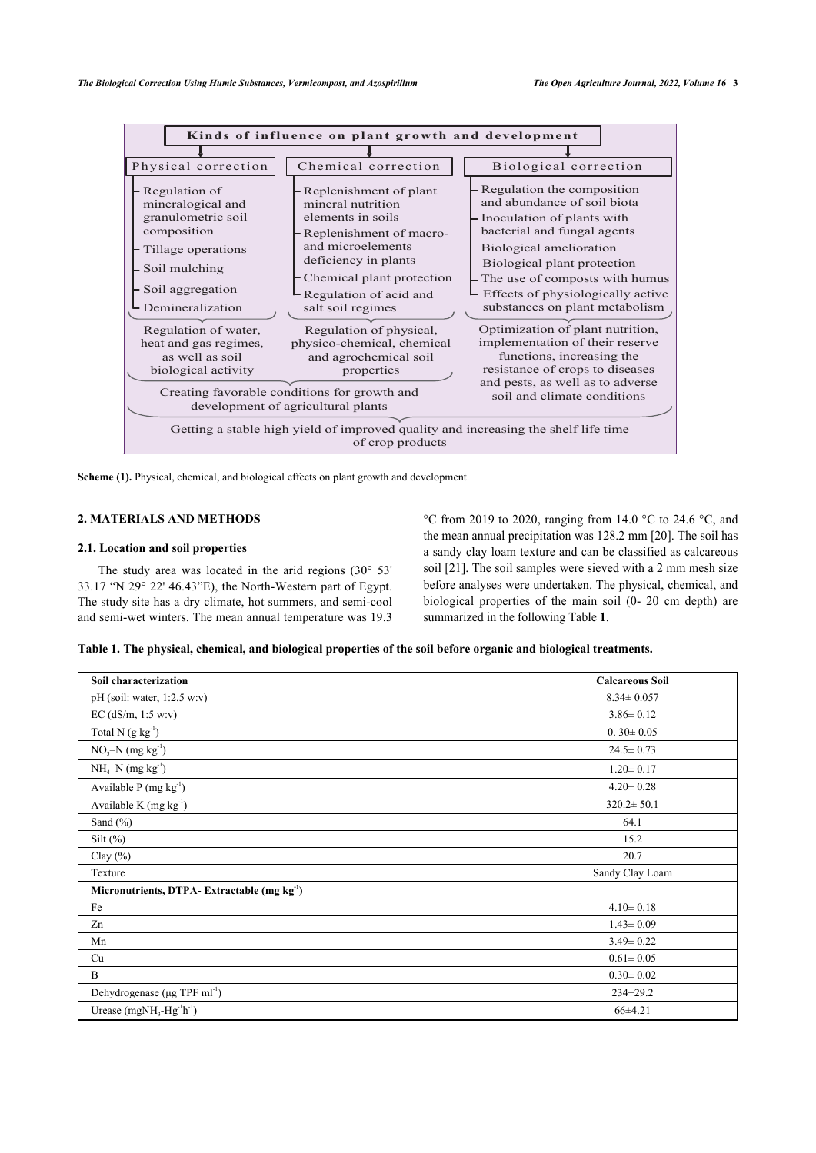

**Scheme (1).** Physical, chemical, and biological effects on plant growth and development.

# **2. MATERIALS AND METHODS**

#### **2.1. Location and soil properties**

The study area was located in the arid regions  $(30^{\circ} 53^{\circ})$ 33.17 "N 29° 22' 46.43"E), the North-Western part of Egypt. The study site has a dry climate, hot summers, and semi-cool and semi-wet winters. The mean annual temperature was 19.3 °C from 2019 to 2020, ranging from 14.0 °C to 24.6 °C, and the mean annual precipitation was 128.2 mm [[20\]](#page-9-0). The soil has a sandy clay loam texture and can be classified as calcareous soil [[21\]](#page-9-1). The soil samples were sieved with a 2 mm mesh size before analyses were undertaken. The physical, chemical, and biological properties of the main soil (0- 20 cm depth) are summarized in the following Table **[1](#page-2-0)**.

<span id="page-2-0"></span>

| Table 1. The physical, chemical, and biological properties of the soil before organic and biological treatments. |  |  |  |  |
|------------------------------------------------------------------------------------------------------------------|--|--|--|--|
|------------------------------------------------------------------------------------------------------------------|--|--|--|--|

| Soil characterization                                   | <b>Calcareous Soil</b> |
|---------------------------------------------------------|------------------------|
| pH (soil: water, $1:2.5$ w:v)                           | $8.34 \pm 0.057$       |
| EC $(dS/m, 1:5 w.v)$                                    | $3.86 \pm 0.12$        |
| Total N $(g kg-1)$                                      | $0.30 \pm 0.05$        |
| $NO3-N$ (mg kg <sup>-1</sup> )                          | $24.5 \pm 0.73$        |
| $NH_4-N$ (mg kg <sup>-1</sup> )                         | $1.20 \pm 0.17$        |
| Available P (mg kg <sup>-1</sup> )                      | $4.20 \pm 0.28$        |
| Available K $(mg kg-1)$                                 | $320.2 \pm 50.1$       |
| Sand $(\% )$                                            | 64.1                   |
| Silt $(\%)$                                             | 15.2                   |
| Clay $(\% )$                                            | 20.7                   |
| Texture                                                 | Sandy Clay Loam        |
| Micronutrients, DTPA-Extractable (mg kg <sup>-1</sup> ) |                        |
| Fe                                                      | $4.10 \pm 0.18$        |
| Zn                                                      | $1.43 \pm 0.09$        |
| Mn                                                      | $3.49 \pm 0.22$        |
| Cu                                                      | $0.61 \pm 0.05$        |
| B                                                       | $0.30 \pm 0.02$        |
| Dehydrogenase (µg TPF ml <sup>-1</sup> )                | $234 \pm 29.2$         |
| Urease $(mgNH3-Hg-1h-1)$                                | 66±4.21                |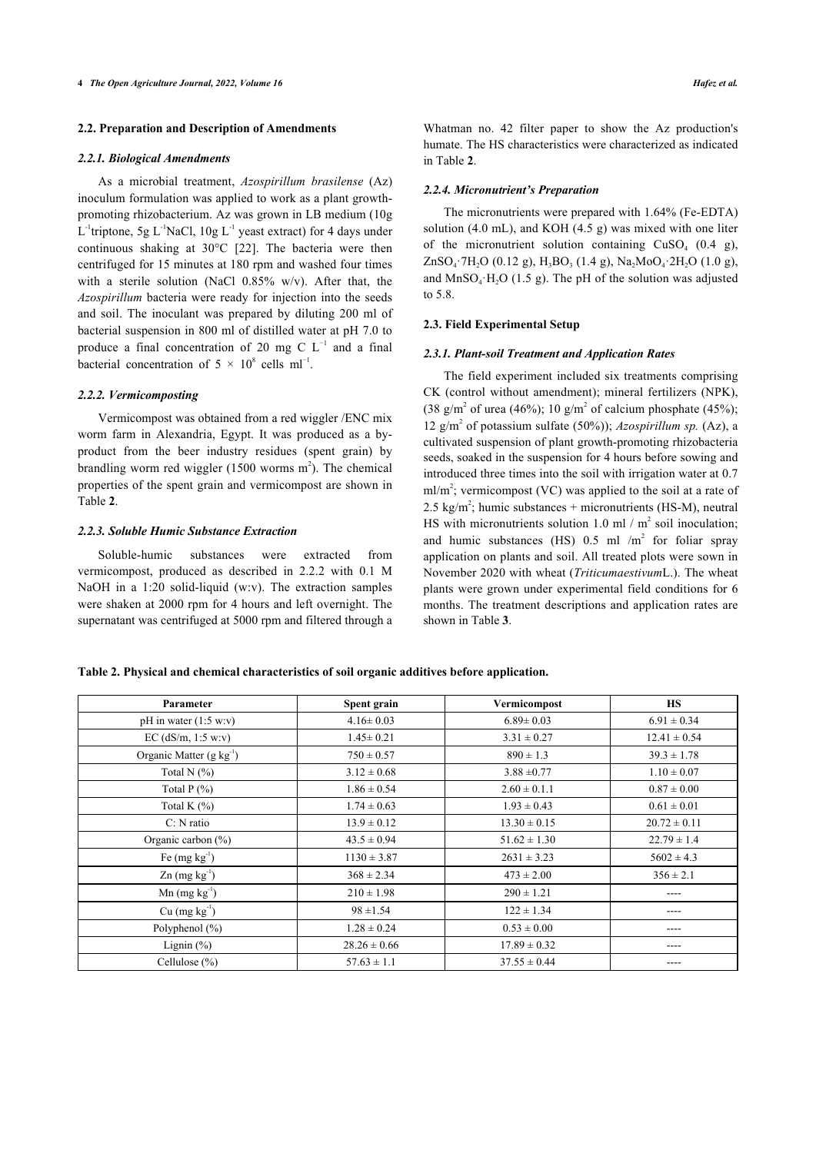#### **2.2. Preparation and Description of Amendments**

#### *2.2.1. Biological Amendments*

As a microbial treatment, *Azospirillum brasilense* (Az) inoculum formulation was applied to work as a plant growthpromoting rhizobacterium. Az was grown in LB medium (10g L<sup>-1</sup>triptone, 5g L<sup>-1</sup>NaCl, 10g L<sup>-1</sup> yeast extract) for 4 days under continuous shaking at 30°C[[22\]](#page-9-2). The bacteria were then centrifuged for 15 minutes at 180 rpm and washed four times with a sterile solution (NaCl 0.85% w/v). After that, the *Azospirillum* bacteria were ready for injection into the seeds and soil. The inoculant was prepared by diluting 200 ml of bacterial suspension in 800 ml of distilled water at pH 7.0 to produce a final concentration of 20 mg C  $L^{-1}$  and a final bacterial concentration of  $5 \times 10^8$  cells ml<sup>-1</sup>.

## *2.2.2. Vermicomposting*

Vermicompost was obtained from a red wiggler /ENC mix worm farm in Alexandria, Egypt. It was produced as a byproduct from the beer industry residues (spent grain) by brandling worm red wiggler  $(1500 \text{ worms m}^2)$ . The chemical prope[rti](#page-3-0)es of the spent grain and vermicompost are shown in Table **2**.

# *2.2.3. Soluble Humic Substance Extraction*

Soluble-humic substances were extracted from vermicompost, produced as described in 2.2.2 with 0.1 M NaOH in a 1:20 solid-liquid (w:v). The extraction samples were shaken at 2000 rpm for 4 hours and left overnight. The supernatant was centrifuged at 5000 rpm and filtered through a

Whatman no. 42 filter paper to show the Az production's humate. The HS characteristics were characterized as indicated in Table **[2](#page-3-0)**.

# *2.2.4. Micronutrient's Preparation*

The micronutrients were prepared with 1.64% (Fe-EDTA) solution (4.0 mL), and KOH (4.5 g) was mixed with one liter of the micronutrient solution containing  $CuSO<sub>4</sub>$  (0.4 g),  $ZnSO_4$ ·7H<sub>2</sub>O (0.12 g), H<sub>3</sub>BO<sub>3</sub> (1.4 g), Na<sub>2</sub>MoO<sub>4</sub>·2H<sub>2</sub>O (1.0 g), and  $MnSO_4$  H<sub>2</sub>O (1.5 g). The pH of the solution was adjusted to 5.8.

# **2.3. Field Experimental Setup**

#### *2.3.1. Plant-soil Treatment and Application Rates*

The field experiment included six treatments comprising CK (control without amendment); mineral fertilizers (NPK), (38 g/m<sup>2</sup> of urea (46%); 10 g/m<sup>2</sup> of calcium phosphate (45%); 12 g/m<sup>2</sup> of potassium sulfate (50%)); *Azospirillum sp.* (Az), a cultivated suspension of plant growth-promoting rhizobacteria seeds, soaked in the suspension for 4 hours before sowing and introduced three times into the soil with irrigation water at 0.7 ml/m<sup>2</sup>; vermicompost (VC) was applied to the soil at a rate of 2.5 kg/m<sup>2</sup>; humic substances + micronutrients (HS-M), neutral HS with micronutrients solution 1.0 ml /  $m^2$  soil inoculation; and humic substances (HS)  $0.5$  ml /m<sup>2</sup> for foliar spray application on plants and soil. All treated plots were sown in November 2020 with wheat (*Triticumaestivum*L.). The wheat plants were grown under experimental field conditions for 6 months. The treatment descriptions and application rates are shown in Table **[3](#page-3-1)**.

<span id="page-3-0"></span>**Table 2. Physical and chemical characteristics of soil organic additives before application.**

<span id="page-3-1"></span>

| Parameter                            | Spent grain      | Vermicompost     | <b>HS</b>        |
|--------------------------------------|------------------|------------------|------------------|
| pH in water $(1:5 w.v)$              | $4.16 \pm 0.03$  | $6.89 \pm 0.03$  | $6.91 \pm 0.34$  |
| EC $(dS/m, 1:5 w.v)$                 | $1.45 \pm 0.21$  | $3.31 \pm 0.27$  | $12.41 \pm 0.54$ |
| Organic Matter (g kg <sup>-1</sup> ) | $750 \pm 0.57$   | $890 \pm 1.3$    | $39.3 \pm 1.78$  |
| Total N $(\%)$                       | $3.12 \pm 0.68$  | $3.88 \pm 0.77$  | $1.10 \pm 0.07$  |
| Total $P(\% )$                       | $1.86 \pm 0.54$  | $2.60 \pm 0.1.1$ | $0.87 \pm 0.00$  |
| Total K $(\%)$                       | $1.74 \pm 0.63$  | $1.93 \pm 0.43$  | $0.61 \pm 0.01$  |
| $C: N$ ratio                         | $13.9 \pm 0.12$  | $13.30 \pm 0.15$ | $20.72 \pm 0.11$ |
| Organic carbon $(\% )$               | $43.5 \pm 0.94$  | $51.62 \pm 1.30$ | $22.79 \pm 1.4$  |
| Fe $(mg kg-1)$                       | $1130 \pm 3.87$  | $2631 \pm 3.23$  | $5602 \pm 4.3$   |
| $\text{Zn}$ (mg kg <sup>-1</sup> )   | $368 \pm 2.34$   | $473 \pm 2.00$   | $356 \pm 2.1$    |
| $Mn$ (mg $kg^{-1}$ )                 | $210 \pm 1.98$   | $290 \pm 1.21$   | ----             |
| $Cu$ (mg $kg^{-1}$ )                 | $98 \pm 1.54$    | $122 \pm 1.34$   | ----             |
| Polyphenol $(\% )$                   | $1.28 \pm 0.24$  | $0.53 \pm 0.00$  | ----             |
| Lignin $(\%)$                        | $28.26 \pm 0.66$ | $17.89 \pm 0.32$ | ----             |
| Cellulose $(\% )$                    | $57.63 \pm 1.1$  | $37.55 \pm 0.44$ |                  |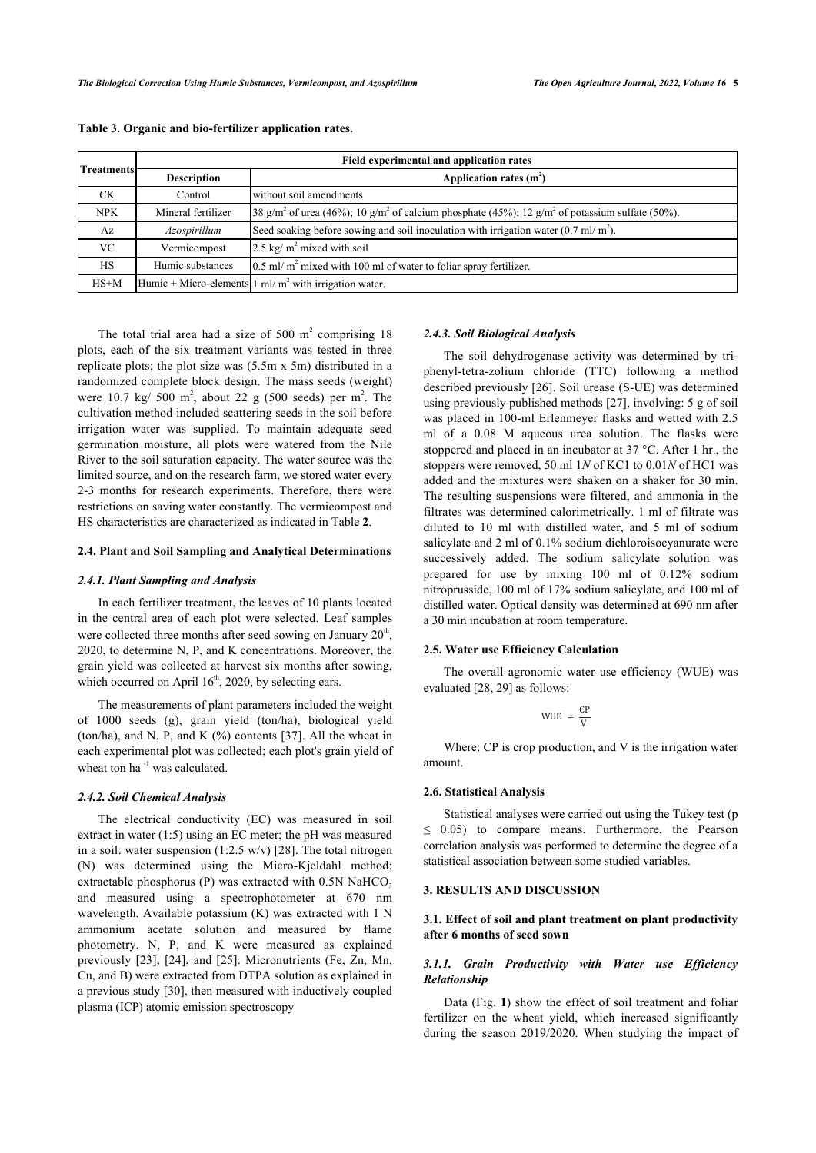| <b>Treatments</b> | Field experimental and application rates |                                                                                                                                     |
|-------------------|------------------------------------------|-------------------------------------------------------------------------------------------------------------------------------------|
|                   | <b>Description</b>                       | Application rates $(m2)$                                                                                                            |
| <b>CK</b>         | Control                                  | without soil amendments                                                                                                             |
| <b>NPK</b>        | Mineral fertilizer                       | [38 g/m <sup>2</sup> of urea (46%); 10 g/m <sup>2</sup> of calcium phosphate (45%); 12 g/m <sup>2</sup> of potassium sulfate (50%). |
| Az                | Azospirillum                             | Seed soaking before sowing and soil inoculation with irrigation water $(0.7 \text{ ml/m}^2)$ .                                      |
| VC.               | Vermicompost                             | 2.5 kg/ $m^2$ mixed with soil                                                                                                       |
| <b>HS</b>         | Humic substances                         | $0.5$ ml/m <sup>2</sup> mixed with 100 ml of water to foliar spray fertilizer.                                                      |
| $HS+M$            |                                          | Humic + Micro-elements $1 \text{ ml/m}^2$ with irrigation water.                                                                    |

**Table 3. Organic and bio-fertilizer application rates.**

The total trial area had a size of 500  $m<sup>2</sup>$  comprising 18 plots, each of the six treatment variants was tested in three replicate plots; the plot size was (5.5m x 5m) distributed in a randomized complete block design. The mass seeds (weight) were 10.7 kg/ 500  $m^2$ , about 22 g (500 seeds) per  $m^2$ . The cultivation method included scattering seeds in the soil before irrigation water was supplied. To maintain adequate seed germination moisture, all plots were watered from the Nile River to the soil saturation capacity. The water source was the limited source, and on the research farm, we stored water every 2-3 months for research experiments. Therefore, there were restrictions on saving water constantly. The vermicompost and HS characteristics are characterized as indicated in Table **[2](#page-3-0)**.

#### **2.4. Plant and Soil Sampling and Analytical Determinations**

#### *2.4.1. Plant Sampling and Analysis*

In each fertilizer treatment, the leaves of 10 plants located in the central area of each plot were selected. Leaf samples were collected three months after seed sowing on January  $20<sup>th</sup>$ , 2020, to determine N, P, and K concentrations. Moreover, the grain yield was collected at harvest six months after sowing, which occurred on April  $16<sup>th</sup>$ , 2020, by selecting ears.

The measurements of plant parameters included the weight of 1000 seeds (g), grain yield (ton/ha), biological yield (ton/ha), and N, P, and K (%) contents [\[37](#page-9-3)]. All the wheat in each experimental plot was collected; each plot's grain yield of wheat ton ha<sup>-1</sup> was calculated.

# *2.4.2. Soil Chemical Analysis*

The electrical conductivity (EC) was measured in soil extract in water (1:5) using an EC meter; the pH was measured in a soil: water suspension  $(1:2.5 \text{ w/v})$  [\[28](#page-9-4)]. The total nitrogen (N) was determined using the Micro-Kjeldahl method; extractable phosphorus (P) was extracted with  $0.5N$  NaHCO<sub>3</sub> and measured using a spectrophotometer at 670 nm wavelength. Available potassium (K) was extracted with 1 N ammonium acetate solution and measured by flame photometry. N, P, and K were measured as explained previously [\[23](#page-9-5)], [\[24](#page-9-6)], and [[25](#page-9-7)]. Micronutrients (Fe, Zn, Mn, Cu, and B) were extracted from DTPA solution as explained in a previous study [[30\]](#page-9-8), then measured with inductively coupled plasma (ICP) atomic emission spectroscopy

#### *2.4.3. Soil Biological Analysis*

The soil dehydrogenase activity was determined by triphenyl-tetra-zolium chloride (TTC) following a method described previously [\[26](#page-9-9)]. Soil urease (S-UE) was determined using previously published methods [\[27](#page-9-10)], involving: 5 g of soil was placed in 100-ml Erlenmeyer flasks and wetted with 2.5 ml of a 0.08 M aqueous urea solution. The flasks were stoppered and placed in an incubator at 37 °C. After 1 hr., the stoppers were removed, 50 ml 1*N* of KC1 to 0.01*N* of HC1 was added and the mixtures were shaken on a shaker for 30 min. The resulting suspensions were filtered, and ammonia in the filtrates was determined calorimetrically. 1 ml of filtrate was diluted to 10 ml with distilled water, and 5 ml of sodium salicylate and 2 ml of 0.1% sodium dichloroisocyanurate were successively added. The sodium salicylate solution was prepared for use by mixing 100 ml of 0.12% sodium nitroprusside, 100 ml of 17% sodium salicylate, and 100 ml of distilled water. Optical density was determined at 690 nm after a 30 min incubation at room temperature.

# **2.5. Water use Efficiency Calculation**

The overall agronomic water use efficiency (WUE) was evaluated [[28,](#page-9-4) [29](#page-9-11)] as follows:

$$
WUE = \frac{CP}{V}
$$

Where: CP is crop production, and V is the irrigation water amount.

#### **2.6. Statistical Analysis**

Statistical analyses were carried out using the Tukey test (p  $\leq$  0.05) to compare means. Furthermore, the Pearson correlation analysis was performed to determine the degree of a statistical association between some studied variables.

# **3. RESULTS AND DISCUSSION**

# **3.1. Effect of soil and plant treatment on plant productivity after 6 months of seed sown**

# *3.1.1. Grain Productivity with Water use Efficiency Relationship*

Data (Fig. **[1](#page-5-0)**) show the effect of soil treatment and foliar fertilizer on the wheat yield, which increased significantly during the season 2019/2020. When studying the impact of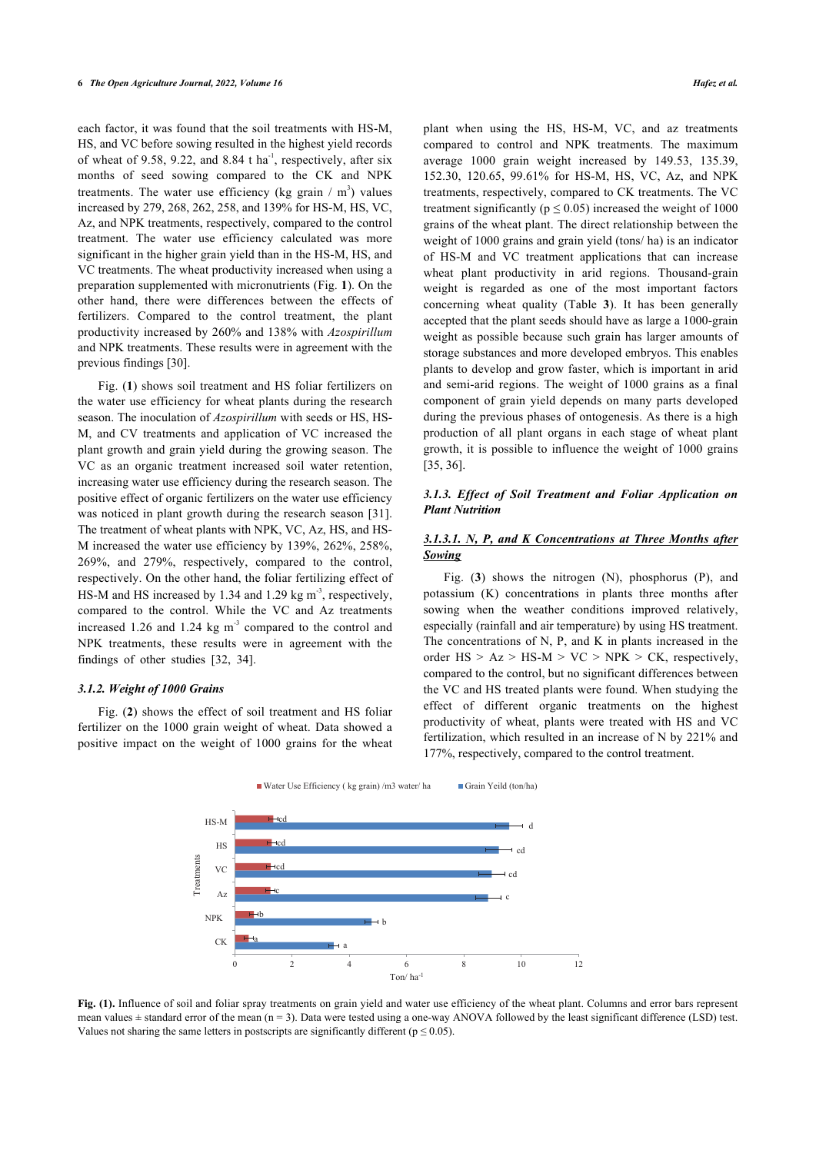each factor, it was found that the soil treatments with HS-M, HS, and VC before sowing resulted in the highest yield records of wheat of 9.58, 9.22, and 8.84 t ha<sup>-1</sup>, respectively, after six months of seed sowing compared to the CK and NPK treatments. The water use efficiency (kg grain  $/m<sup>3</sup>$ ) values increased by 279, 268, 262, 258, and 139% for HS-M, HS, VC, Az, and NPK treatments, respectively, compared to the control treatment. The water use efficiency calculated was more significant in the higher grain yield than in the HS-M, HS, and VC treatments. The wheat productivity increased when using a preparation supplemented with micronutrients (Fig. **[1](#page-5-0)**). On the other hand, there were differences between the effects of fertilizers. Compared to the control treatment, the plant productivity increased by 260% and 138% with *Azospirillum* and NPK treatments. These results were in agreement with the previous findings [[30\]](#page-9-8).

Fig. (**[1](#page-5-0)**) shows soil treatment and HS foliar fertilizers on the water use efficiency for wheat plants during the research season. The inoculation of *Azospirillum* with seeds or HS, HS-M, and CV treatments and application of VC increased the plant growth and grain yield during the growing season. The VC as an organic treatment increased soil water retention, increasing water use efficiency during the research season. The positive effect of organic fertilizers on the water use efficiency was noticed in plant growth during the research season [[31\]](#page-9-12). The treatment of wheat plants with NPK, VC, Az, HS, and HS-M increased the water use efficiency by 139%, 262%, 258%, 269%, and 279%, respectively, compared to the control, respectively. On the other hand, the foliar fertilizing effect of HS-M and HS increased by 1.34 and 1.29 kg  $m<sup>3</sup>$ , respectively, compared to the control. While the VC and Az treatments increased 1.26 and 1.24 kg  $m<sup>3</sup>$  compared to the control and NPK treatments, these results were in agreement with the findings of other studies [\[32](#page-9-13), [34\]](#page-9-14).

## *3.1.2. Weight of 1000 Grains*

<span id="page-5-0"></span>Fig. (**[2](#page-6-0)**) shows the effect of soil treatment and HS foliar fertilizer on the 1000 grain weight of wheat. Data showed a positive impact on the weight of 1000 grains for the wheat

plant when using the HS, HS-M, VC, and az treatments compared to control and NPK treatments. The maximum average 1000 grain weight increased by 149.53, 135.39, 152.30, 120.65, 99.61% for HS-M, HS, VC, Az, and NPK treatments, respectively, compared to CK treatments. The VC treatment significantly ( $p \le 0.05$ ) increased the weight of 1000 grains of the wheat plant. The direct relationship between the weight of 1000 grains and grain yield (tons/ ha) is an indicator of HS-M and VC treatment applications that can increase wheat plant productivity in arid regions. Thousand-grain weight is regarded as one of the most important factors concerning wheat quality (Table**3**). It has been generally accepted that the plant seeds should have as large a 1000-grain weight as possible because such grain has larger amounts of storage substances and more developed embryos. This enables plants to develop and grow faster, which is important in arid and semi-arid regions. The weight of 1000 grains as a final component of grain yield depends on many parts developed during the previous phases of ontogenesis. As there is a high production of all plant organs in each stage of wheat plant growth, it is possible to influence the weight of 1000 grains [[35,](#page-9-15) [36](#page-9-16)].

# *3.1.3. Effect of Soil Treatment and Foliar Application on Plant Nutrition*

# *3.1.3.1. N, P, and K Concentrations at Three Months after Sowing*

Fig. (**[3](#page-6-1)**) shows the nitrogen (N), phosphorus (P), and potassium (K) concentrations in plants three months after sowing when the weather conditions improved relatively, especially (rainfall and air temperature) by using HS treatment. The concentrations of N, P, and K in plants increased in the order  $HS > Az > HS-M > VC > NPK > CK$ , respectively, compared to the control, but no significant differences between the VC and HS treated plants were found. When studying the effect of different organic treatments on the highest productivity of wheat, plants were treated with HS and VC fertilization, which resulted in an increase of N by 221% and 177%, respectively, compared to the control treatment.





**Fig. (1).** Influence of soil and foliar spray treatments on grain yield and water use efficiency of the wheat plant. Columns and error bars represent mean values  $\pm$  standard error of the mean (n = 3). Data were tested using a one-way ANOVA followed by the least significant difference (LSD) test. Values not sharing the same letters in postscripts are significantly different ( $p \le 0.05$ ).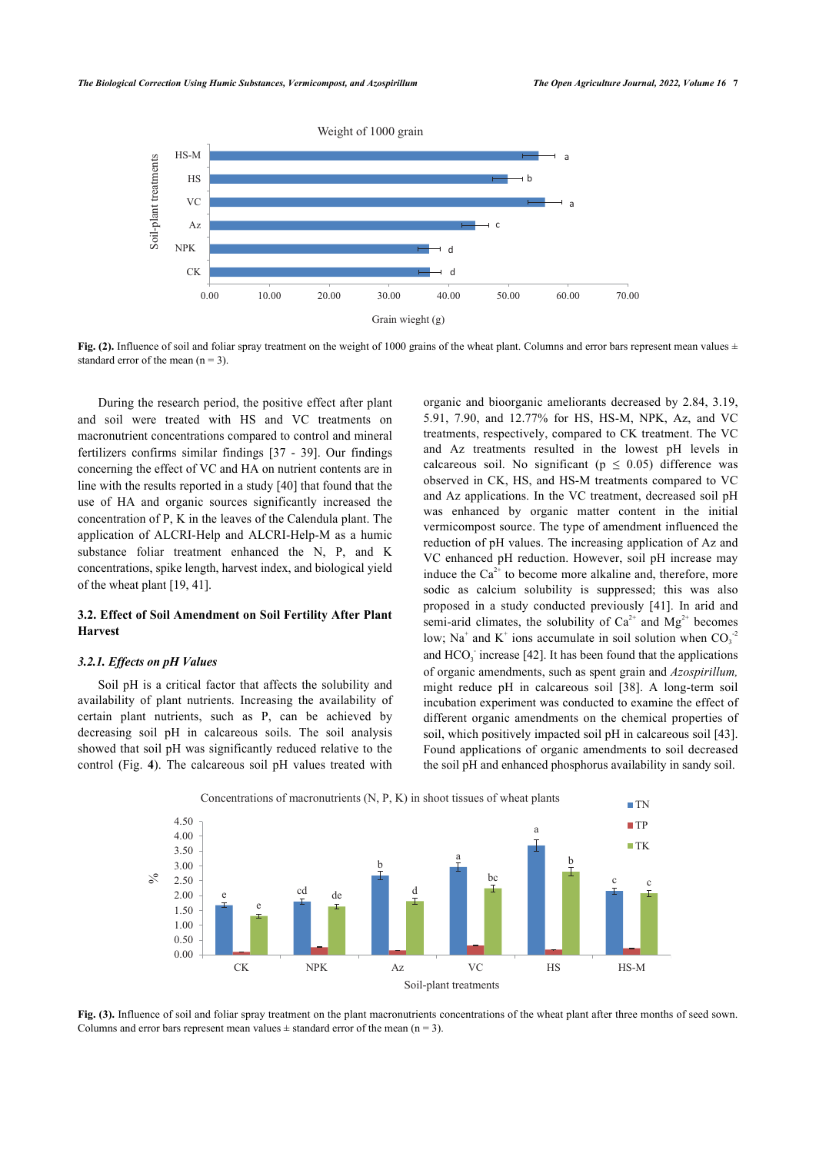<span id="page-6-0"></span>

**Fig. (2).** Influence of soil and foliar spray treatment on the weight of 1000 grains of the wheat plant. Columns and error bars represent mean values  $\pm$ standard error of the mean  $(n = 3)$ .

During the research period, the positive effect after plant and soil were treated with HS and VC treatments on macronutrient concentrations compared to control and mineral fertilizers confirms similar findings[[37](#page-9-3) - [39\]](#page-9-17). Our findings concerning the effect of VC and HA on nutrient contents are in line with the results reported in a study [[40](#page-9-18)] that found that the use of HA and organic sources significantly increased the concentration of P, K in the leaves of the Calendula plant. The application of ALCRI-Help and ALCRI-Help-M as a humic substance foliar treatment enhanced the N, P, and K concentrations, spike length, harvest index, and biological yield of the wheat plant [[19,](#page-8-18) [41](#page-9-19)].

# **3.2. Effect of Soil Amendment on Soil Fertility After Plant Harvest**

#### *3.2.1. Effects on pH Values*

Soil pH is a critical factor that affects the solubility and availability of plant nutrients. Increasing the availability of certain plant nutrients, such as P, can be achieved by decreasing soil pH in calcareous soils. The soil analysis showed that [so](#page-7-0)il pH was significantly reduced relative to the control (Fig. **4**). The calcareous soil pH values treated with organic and bioorganic ameliorants decreased by 2.84, 3.19, 5.91, 7.90, and 12.77% for HS, HS-M, NPK, Az, and VC treatments, respectively, compared to CK treatment. The VC and Az treatments resulted in the lowest pH levels in calcareous soil. No significant ( $p \le 0.05$ ) difference was observed in CK, HS, and HS-M treatments compared to VC and Az applications. In the VC treatment, decreased soil pH was enhanced by organic matter content in the initial vermicompost source. The type of amendment influenced the reduction of pH values. The increasing application of Az and VC enhanced pH reduction. However, soil pH increase may induce the  $Ca^{2+}$  to become more alkaline and, therefore, more sodic as calcium solubility is suppressed; this was also proposed in a study conducted previously[[41](#page-9-19)]. In arid and semi-arid climates, the solubility of  $Ca^{2+}$  and  $Mg^{2+}$  becomes low; Na<sup>+</sup> and K<sup>+</sup> ions accumulate in soil solution when  $CO_3^{-2}$ and  $HCO<sub>3</sub>$  increase [[42\]](#page-9-20). It has been found that the applications of organic amendments, such as spent grain and *Azospirillum,* might reduce pH in calcareous soil[[38\]](#page-9-21). A long-term soil incubation experiment was conducted to examine the effect of different organic amendments on the chemical properties of soil, which positively impacted soil pH in calcareous soil [\[43](#page-9-22)]. Found applications of organic amendments to soil decreased the soil pH and enhanced phosphorus availability in sandy soil.

<span id="page-6-1"></span>

**Fig. (3).** Influence of soil and foliar spray treatment on the plant macronutrients concentrations of the wheat plant after three months of seed sown. Columns and error bars represent mean values  $\pm$  standard error of the mean (n = 3).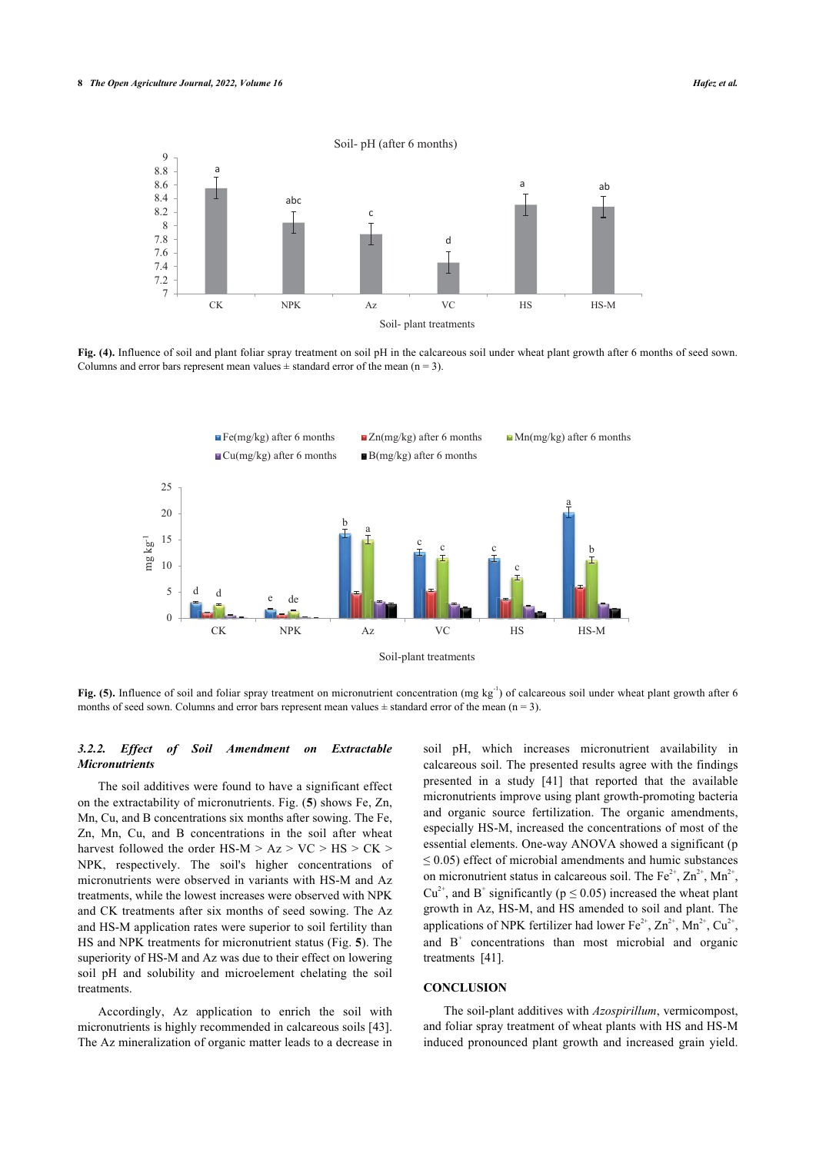<span id="page-7-0"></span>

<span id="page-7-1"></span>**Fig. (4).** Influence of soil and plant foliar spray treatment on soil pH in the calcareous soil under wheat plant growth after 6 months of seed sown. Columns and error bars represent mean values  $\pm$  standard error of the mean (n = 3).



**Fig. (5).** Influence of soil and foliar spray treatment on micronutrient concentration (mg kg<sup>-1</sup>) of calcareous soil under wheat plant growth after 6 months of seed sown. Columns and error bars represent mean values  $\pm$  standard error of the mean (n = 3).

## *3.2.2. Effect of Soil Amendment on Extractable Micronutrients*

The soil additives were found to have a significant effect on the extractability of micronutrients. Fig. (**[5](#page-7-1)**) shows Fe, Zn, Mn, Cu, and B concentrations six months after sowing. The Fe, Zn, Mn, Cu, and B concentrations in the soil after wheat harvest followed the order  $HS-M > Az > VC > HS > CK >$ NPK, respectively. The soil's higher concentrations of micronutrients were observed in variants with HS-M and Az treatments, while the lowest increases were observed with NPK and CK treatments after six months of seed sowing. The Az and HS-M application rates were superior to soil fertility than HS and NPK treatments for micronutrient status (Fig. **[5](#page-7-1)**). The superiority of HS-M and Az was due to their effect on lowering soil pH and solubility and microelement chelating the soil treatments.

Accordingly, Az application to enrich the soil with micronutrients is highly recommended in calcareous soils [[43](#page-9-22)]. The Az mineralization of organic matter leads to a decrease in soil pH, which increases micronutrient availability in calcareous soil. The presented results agree with the findings presented in a study [\[41\]](#page-9-19) that reported that the available micronutrients improve using plant growth-promoting bacteria and organic source fertilization. The organic amendments, especially HS-M, increased the concentrations of most of the essential elements. One-way ANOVA showed a significant (p  $\leq$  0.05) effect of microbial amendments and humic substances on micronutrient status in calcareous soil. The  $Fe^{2+}$ ,  $Zn^{2+}$ ,  $Mn^{2+}$ ,  $Cu^{2+}$ , and B<sup>+</sup> significantly ( $p \le 0.05$ ) increased the wheat plant growth in Az, HS-M, and HS amended to soil and plant. The applications of NPK fertilizer had lower  $Fe^{2+}$ ,  $Zn^{2+}$ ,  $Mn^{2+}$ ,  $Cu^{2+}$ , and  $B^+$  concentrations than most microbial and organic treatments[[41\]](#page-9-19).

# **CONCLUSION**

The soil-plant additives with *Azospirillum*, vermicompost, and foliar spray treatment of wheat plants with HS and HS-M induced pronounced plant growth and increased grain yield.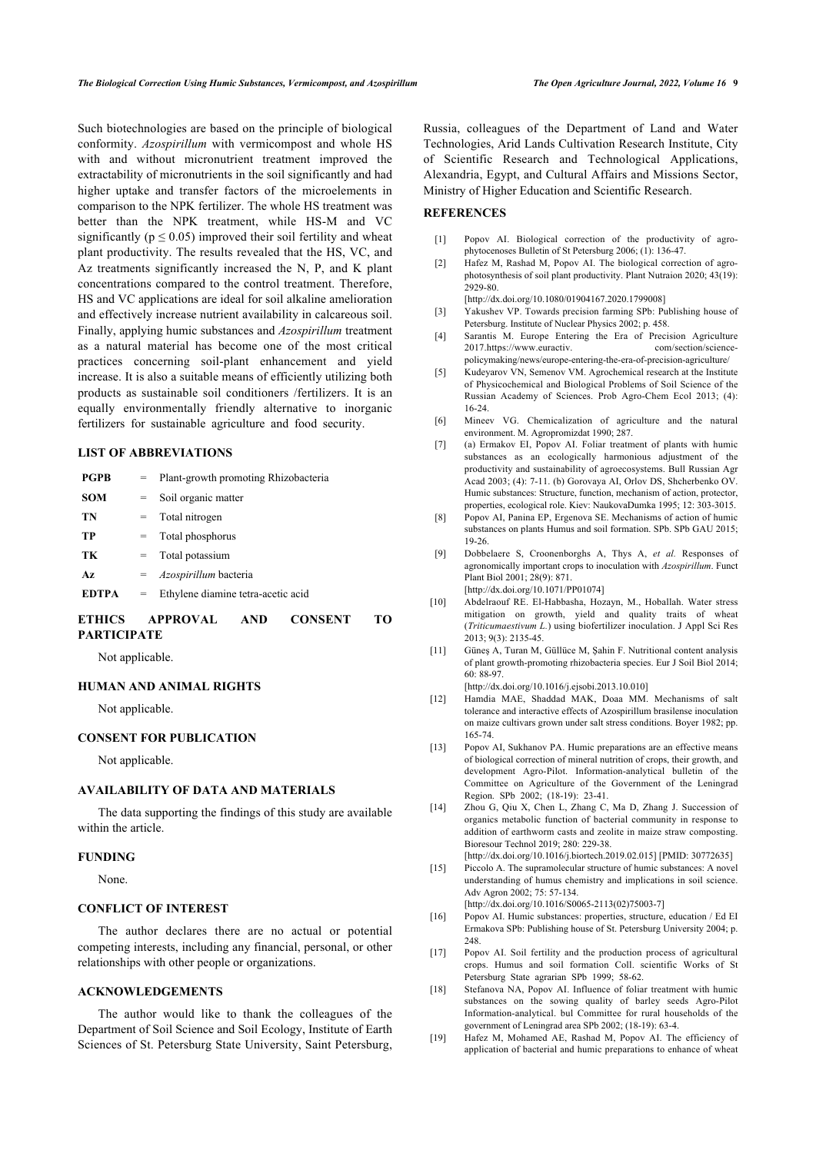<span id="page-8-1"></span><span id="page-8-0"></span>Such biotechnologies are based on the principle of biological conformity. *Azospirillum* with vermicompost and whole HS with and without micronutrient treatment improved the extractability of micronutrients in the soil significantly and had higher uptake and transfer factors of the microelements in comparison to the NPK fertilizer. The whole HS treatment was better than the NPK treatment, while HS-M and VC significantly ( $p \le 0.05$ ) improved their soil fertility and wheat plant productivity. The results revealed that the HS, VC, and Az treatments significantly increased the N, P, and K plant concentrations compared to the control treatment. Therefore, HS and VC applications are ideal for soil alkaline amelioration and effectively increase nutrient availability in calcareous soil. Finally, applying humic substances and *Azospirillum* treatment as a natural material has become one of the most critical practices concerning soil-plant enhancement and yield increase. It is also a suitable means of efficiently utilizing both products as sustainable soil conditioners /fertilizers. It is an equally environmentally friendly alternative to inorganic fertilizers for sustainable agriculture and food security.

# <span id="page-8-6"></span><span id="page-8-5"></span><span id="page-8-4"></span><span id="page-8-3"></span><span id="page-8-2"></span>**LIST OF ABBREVIATIONS**

<span id="page-8-7"></span>

| <b>PGPB</b>  |     | $=$ Plant-growth promoting Rhizobacteria |
|--------------|-----|------------------------------------------|
| <b>SOM</b>   | $=$ | Soil organic matter                      |
| TN           |     | $=$ Total nitrogen                       |
| TP           |     | $=$ Total phosphorus                     |
| TК           |     | $=$ Total potassium                      |
| Az           |     | $=$ <i>Azospirillum</i> bacteria         |
| <b>EDTPA</b> | $=$ | Ethylene diamine tetra-acetic acid       |
|              |     |                                          |

# <span id="page-8-10"></span><span id="page-8-9"></span><span id="page-8-8"></span>**ETHICS APPROVAL AND CONSENT TO PARTICIPATE**

Not applicable.

#### <span id="page-8-11"></span>**HUMAN AND ANIMAL RIGHTS**

Not applicable.

#### <span id="page-8-12"></span>**CONSENT FOR PUBLICATION**

Not applicable.

# **AVAILABILITY OF DATA AND MATERIALS**

<span id="page-8-13"></span>The data supporting the findings of this study are available within the article.

#### <span id="page-8-14"></span>**FUNDING**

None.

# <span id="page-8-15"></span>**CONFLICT OF INTEREST**

<span id="page-8-16"></span>The author declares there are no actual or potential competing interests, including any financial, personal, or other relationships with other people or organizations.

## <span id="page-8-17"></span>**ACKNOWLEDGEMENTS**

<span id="page-8-18"></span>The author would like to thank the colleagues of the Department of Soil Science and Soil Ecology, Institute of Earth Sciences of St. Petersburg State University, Saint Petersburg,

Russia, colleagues of the Department of Land and Water Technologies, Arid Lands Cultivation Research Institute, City of Scientific Research and Technological Applications, Alexandria, Egypt, and Cultural Affairs and Missions Sector, Ministry of Higher Education and Scientific Research.

# **REFERENCES**

- [1] Popov AI. Biological correction of the productivity of agrophytocenoses Bulletin of St Petersburg 2006; (1): 136-47.
- [2] Hafez M, Rashad M, Popov AI. The biological correction of agrophotosynthesis of soil plant productivity. Plant Nutraion 2020; 43(19): 2929-80.
	- [\[http://dx.doi.org/10.1080/01904167.2020.1799008](http://dx.doi.org/10.1080/01904167.2020.1799008)]
- [3] Yakushev VP. Towards precision farming SPb: Publishing house of Petersburg. Institute of Nuclear Physics 2002; p. 458.
- [4] Sarantis M. Europe Entering the Era of Precision Agriculture 2017[.https://www.euractiv. com/section/science](https://www.euractiv.com/section/science-policymaking/news/europe-entering-the-era-of-precision-agriculture/)[policymaking/news/europe-entering-the-era-of-precision-agriculture/](https://www.euractiv.com/section/science-policymaking/news/europe-entering-the-era-of-precision-agriculture/)
- [5] Kudeyarov VN, Semenov VM. Agrochemical research at the Institute of Physicochemical and Biological Problems of Soil Science of the Russian Academy of Sciences. Prob Agro-Chem Ecol 2013; (4): 16-24.
- [6] Mineev VG. Chemicalization of agriculture and the natural environment. M. Agropromizdat 1990; 287.
- [7] (a) Ermakov EI, Popov AI. Foliar treatment of plants with humic substances as an ecologically harmonious adjustment of the productivity and sustainability of agroecosystems. Bull Russian Agr Acad 2003; (4): 7-11. (b) Gorovaya AI, Orlov DS, Shcherbenko OV. Humic substances: Structure, function, mechanism of action, protector, properties, ecological role. Kiev: NaukovaDumka 1995; 12: 303-3015.
- [8] Popov AI, Panina EP, Ergenova SE. Mechanisms of action of humic substances on plants Humus and soil formation. SPb. SPb GAU 2015; 19-26.
- [9] Dobbelaere S, Croonenborghs A, Thys A, *et al.* Responses of agronomically important crops to inoculation with *Azospirillum*. Funct Plant Biol 2001; 28(9): 871.

[\[http://dx.doi.org/10.1071/PP01074\]](http://dx.doi.org/10.1071/PP01074)

- [10] Abdelraouf RE. El-Habbasha, Hozayn, M., Hoballah. Water stress mitigation on growth, yield and quality traits of wheat (*Triticumaestivum L.*) using biofertilizer inoculation. J Appl Sci Res 2013; 9(3): 2135-45.
- [11] Güneş A, Turan M, Güllüce M, Şahin F. Nutritional content analysis of plant growth-promoting rhizobacteria species. Eur J Soil Biol 2014; 60: 88-97.

[\[http://dx.doi.org/10.1016/j.ejsobi.2013.10.010\]](http://dx.doi.org/10.1016/j.ejsobi.2013.10.010)

- [12] Hamdia MAE, Shaddad MAK, Doaa MM. Mechanisms of salt tolerance and interactive effects of Azospirillum brasilense inoculation on maize cultivars grown under salt stress conditions. Boyer 1982; pp. 165-74.
- [13] Popov AI, Sukhanov PA. Humic preparations are an effective means of biological correction of mineral nutrition of crops, their growth, and development Agro-Pilot. Information-analytical bulletin of the Committee on Agriculture of the Government of the Leningrad Region. SPb 2002; (18-19): 23-41.
- [14] Zhou G, Qiu X, Chen L, Zhang C, Ma D, Zhang J. Succession of organics metabolic function of bacterial community in response to addition of earthworm casts and zeolite in maize straw composting. Bioresour Technol 2019; 280: 229-38.
- [\[http://dx.doi.org/10.1016/j.biortech.2019.02.015\]](http://dx.doi.org/10.1016/j.biortech.2019.02.015) [PMID: [30772635](http://www.ncbi.nlm.nih.gov/pubmed/30772635)] [15] Piccolo A. The supramolecular structure of humic substances: A novel
- understanding of humus chemistry and implications in soil science. Adv Agron 2002; 75: 57-134. [\[http://dx.doi.org/10.1016/S0065-2113\(02\)75003-7\]](http://dx.doi.org/10.1016/S0065-2113(02)75003-7)
- [16] Popov AI. Humic substances: properties, structure, education / Ed EI Ermakova SPb: Publishing house of St. Petersburg University 2004; p. 248
- [17] Popov AI. Soil fertility and the production process of agricultural crops. Humus and soil formation Coll. scientific Works of St Petersburg State agrarian SPb 1999; 58-62.
- [18] Stefanova NA, Popov AI. Influence of foliar treatment with humic substances on the sowing quality of barley seeds Agro-Pilot Information-analytical. bul Committee for rural households of the government of Leningrad area SPb 2002; (18-19): 63-4.
- [19] Hafez M, Mohamed AE, Rashad M, Popov AI. The efficiency of application of bacterial and humic preparations to enhance of wheat